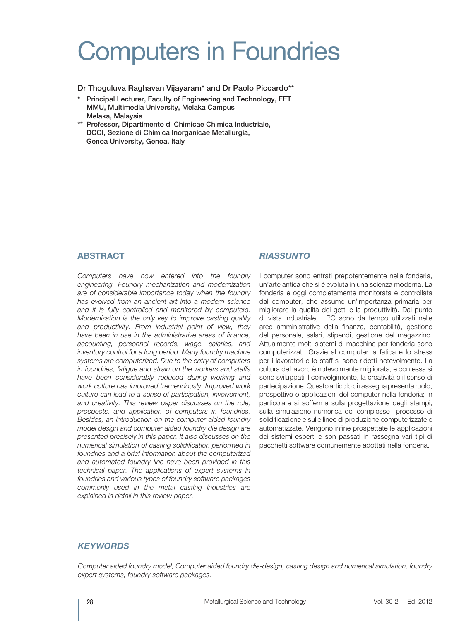# Computers in Foundries

Dr Thoguluva Raghavan Vijayaram\* and Dr Paolo Piccardo\*\*

- Principal Lecturer, Faculty of Engineering and Technology, FET MMU, Multimedia University, Melaka Campus Melaka, Malaysia
- \*\* Professor, Dipartimento di Chimicae Chimica Industriale, DCCI, Sezione di Chimica Inorganicae Metallurgia, Genoa University, Genoa, Italy

## **ABSTRACT**

*Computers have now entered into the foundry engineering. Foundry mechanization and modernization are of considerable importance today when the foundry has evolved from an ancient art into a modern science and it is fully controlled and monitored by computers. Modernization is the only key to improve casting quality and productivity. From industrial point of view, they have been in use in the administrative areas of finance, accounting, personnel records, wage, salaries, and inventory control for a long period. Many foundry machine systems are computerized. Due to the entry of computers in foundries, fatigue and strain on the workers and staffs have been considerably reduced during working and work culture has improved tremendously. Improved work culture can lead to a sense of participation, involvement, and creativity. This review paper discusses on the role, prospects, and application of computers in foundries. Besides, an introduction on the computer aided foundry model design and computer aided foundry die design are presented precisely in this paper. It also discusses on the numerical simulation of casting solidification performed in foundries and a brief information about the computerized and automated foundry line have been provided in this technical paper. The applications of expert systems in foundries and various types of foundry software packages commonly used in the metal casting industries are explained in detail in this review paper.* 

# *RIASSUNTO*

I computer sono entrati prepotentemente nella fonderia, un'arte antica che si è evoluta in una scienza moderna. La fonderia è oggi completamente monitorata e controllata dal computer, che assume un'importanza primaria per migliorare la qualità dei getti e la produttività. Dal punto di vista industriale, i PC sono da tempo utilizzati nelle aree amministrative della finanza, contabilità, gestione del personale, salari, stipendi, gestione del magazzino. Attualmente molti sistemi di macchine per fonderia sono computerizzati. Grazie al computer la fatica e lo stress per i lavoratori e lo staff si sono ridotti notevolmente. La cultura del lavoro è notevolmente migliorata, e con essa si sono sviluppati il coinvolgimento, la creatività e il senso di partecipazione. Questo articolo di rassegna presenta ruolo, prospettive e applicazioni del computer nella fonderia; in particolare si sofferma sulla progettazione degli stampi, sulla simulazione numerica del complesso processo di solidificazione e sulle linee di produzione computerizzate e automatizzate. Vengono infine prospettate le applicazioni dei sistemi esperti e son passati in rassegna vari tipi di pacchetti software comunemente adottati nella fonderia.

## *KEYWORDS*

*Computer aided foundry model, Computer aided foundry die-design, casting design and numerical simulation, foundry expert systems, foundry software packages.*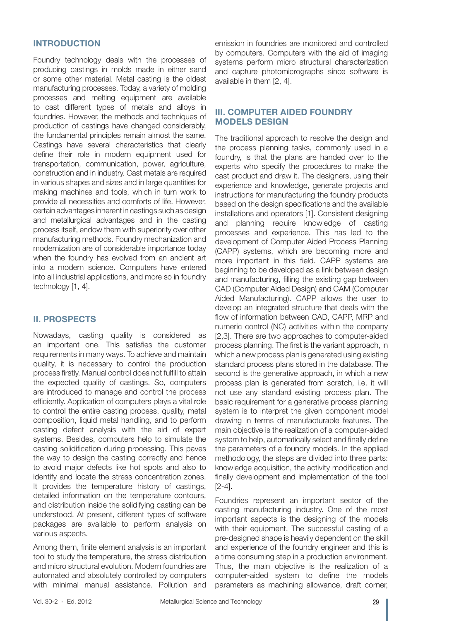## **INTRODUCTION**

Foundry technology deals with the processes of producing castings in molds made in either sand or some other material. Metal casting is the oldest manufacturing processes. Today, a variety of molding processes and melting equipment are available to cast different types of metals and alloys in foundries. However, the methods and techniques of production of castings have changed considerably, the fundamental principles remain almost the same. Castings have several characteristics that clearly define their role in modern equipment used for transportation, communication, power, agriculture, construction and in industry. Cast metals are required in various shapes and sizes and in large quantities for making machines and tools, which in turn work to provide all necessities and comforts of life. However, certain advantages inherent in castings such as design and metallurgical advantages and in the casting process itself, endow them with superiority over other manufacturing methods. Foundry mechanization and modernization are of considerable importance today when the foundry has evolved from an ancient art into a modern science. Computers have entered into all industrial applications, and more so in foundry technology [1, 4].

# **II. PROSPECTS**

Nowadays, casting quality is considered as an important one. This satisfies the customer requirements in many ways. To achieve and maintain quality, it is necessary to control the production process firstly. Manual control does not fulfill to attain the expected quality of castings. So, computers are introduced to manage and control the process efficiently. Application of computers plays a vital role to control the entire casting process, quality, metal composition, liquid metal handling, and to perform casting defect analysis with the aid of expert systems. Besides, computers help to simulate the casting solidification during processing. This paves the way to design the casting correctly and hence to avoid major defects like hot spots and also to identify and locate the stress concentration zones. It provides the temperature history of castings, detailed information on the temperature contours, and distribution inside the solidifying casting can be understood. At present, different types of software packages are available to perform analysis on various aspects.

Among them, finite element analysis is an important tool to study the temperature, the stress distribution and micro structural evolution. Modern foundries are automated and absolutely controlled by computers with minimal manual assistance. Pollution and

emission in foundries are monitored and controlled by computers. Computers with the aid of imaging systems perform micro structural characterization and capture photomicrographs since software is available in them [2, 4].

# **III. COMPUTER AIDED FOUNDRY MODELS DESIGN**

The traditional approach to resolve the design and the process planning tasks, commonly used in a foundry, is that the plans are handed over to the experts who specify the procedures to make the cast product and draw it. The designers, using their experience and knowledge, generate projects and instructions for manufacturing the foundry products based on the design specifications and the available installations and operators [1]. Consistent designing and planning require knowledge of casting processes and experience. This has led to the development of Computer Aided Process Planning (CAPP) systems, which are becoming more and more important in this field. CAPP systems are beginning to be developed as a link between design and manufacturing, filling the existing gap between CAD (Computer Aided Design) and CAM (Computer Aided Manufacturing). CAPP allows the user to develop an integrated structure that deals with the flow of information between CAD, CAPP, MRP and numeric control (NC) activities within the company [2,3]. There are two approaches to computer-aided process planning. The first is the variant approach, in which a new process plan is generated using existing standard process plans stored in the database. The second is the generative approach, in which a new process plan is generated from scratch, i.e. it will not use any standard existing process plan. The basic requirement for a generative process planning system is to interpret the given component model drawing in terms of manufacturable features. The main objective is the realization of a computer-aided system to help, automatically select and finally define the parameters of a foundry models. In the applied methodology, the steps are divided into three parts: knowledge acquisition, the activity modification and finally development and implementation of the tool [2-4].

Foundries represent an important sector of the casting manufacturing industry. One of the most important aspects is the designing of the models with their equipment. The successful casting of a pre-designed shape is heavily dependent on the skill and experience of the foundry engineer and this is a time consuming step in a production environment. Thus, the main objective is the realization of a computer-aided system to define the models parameters as machining allowance, draft corner,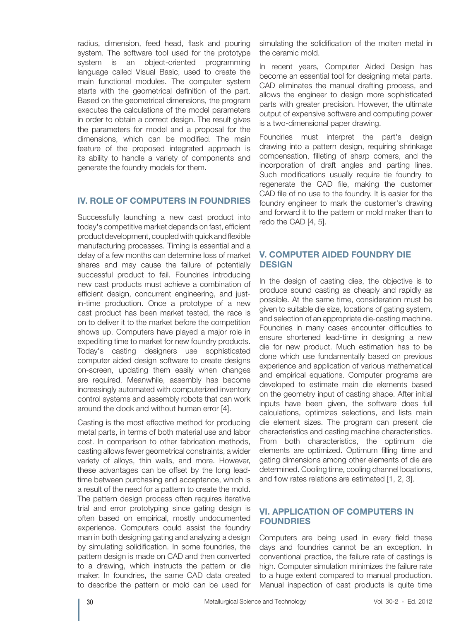radius, dimension, feed head, flask and pouring system. The software tool used for the prototype system is an object-oriented programming language called Visual Basic, used to create the main functional modules. The computer system starts with the geometrical definition of the part. Based on the geometrical dimensions, the program executes the calculations of the model parameters in order to obtain a correct design. The result gives the parameters for model and a proposal for the dimensions, which can be modified. The main feature of the proposed integrated approach is its ability to handle a variety of components and generate the foundry models for them.

#### **IV. ROLE OF COMPUTERS IN FOUNDRIES**

Successfully launching a new cast product into today's competitive market depends on fast, efficient product development, coupled with quick and flexible manufacturing processes. Timing is essential and a delay of a few months can determine loss of market shares and may cause the failure of potentially successful product to fail. Foundries introducing new cast products must achieve a combination of efficient design, concurrent engineering, and justin-time production. Once a prototype of a new cast product has been market tested, the race is on to deliver it to the market before the competition shows up. Computers have played a major role in expediting time to market for new foundry products. Today's casting designers use sophisticated computer aided design software to create designs on-screen, updating them easily when changes are required. Meanwhile, assembly has become increasingly automated with computerized inventory control systems and assembly robots that can work around the clock and without human error [4].

Casting is the most effective method for producing metal parts, in terms of both material use and labor cost. In comparison to other fabrication methods, casting allows fewer geometrical constraints, a wider variety of alloys, thin walls, and more. However, these advantages can be offset by the long leadtime between purchasing and acceptance, which is a result of the need for a pattern to create the mold. The pattern design process often requires iterative trial and error prototyping since gating design is often based on empirical, mostly undocumented experience. Computers could assist the foundry man in both designing gating and analyzing a design by simulating solidification. In some foundries, the pattern design is made on CAD and then converted to a drawing, which instructs the pattern or die maker. In foundries, the same CAD data created to describe the pattern or mold can be used for

simulating the solidification of the molten metal in the ceramic mold.

In recent years, Computer Aided Design has become an essential tool for designing metal parts. CAD eliminates the manual drafting process, and allows the engineer to design more sophisticated parts with greater precision. However, the ultimate output of expensive software and computing power is a two-dimensional paper drawing.

Foundries must interpret the part's design drawing into a pattern design, requiring shrinkage compensation, filleting of sharp comers, and the incorporation of draft angles and parting lines. Such modifications usually require tie foundry to regenerate the CAD file, making the customer CAD file of no use to the foundry. It is easier for the foundry engineer to mark the customer's drawing and forward it to the pattern or mold maker than to redo the CAD [4, 5].

## **V. COMPUTER AIDED FOUNDRY DIE DESIGN**

In the design of casting dies, the objective is to produce sound casting as cheaply and rapidly as possible. At the same time, consideration must be given to suitable die size, locations of gating system, and selection of an appropriate die-casting machine. Foundries in many cases encounter difficulties to ensure shortened lead-time in designing a new die for new product. Much estimation has to be done which use fundamentally based on previous experience and application of various mathematical and empirical equations. Computer programs are developed to estimate main die elements based on the geometry input of casting shape. After initial inputs have been given, the software does full calculations, optimizes selections, and lists main die element sizes. The program can present die characteristics and casting machine characteristics. From both characteristics, the optimum die elements are optimized. Optimum filling time and gating dimensions among other elements of die are determined. Cooling time, cooling channel locations, and flow rates relations are estimated [1, 2, 3].

## **VI. APPLICATION OF COMPUTERS IN FOUNDRIES**

Computers are being used in every field these days and foundries cannot be an exception. In conventional practice, the failure rate of castings is high. Computer simulation minimizes the failure rate to a huge extent compared to manual production. Manual inspection of cast products is quite time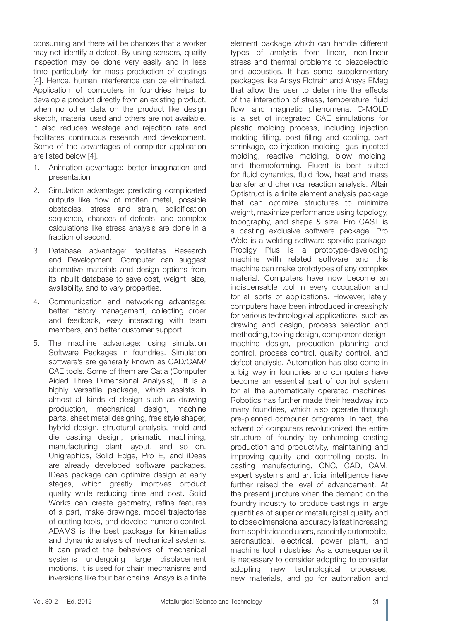consuming and there will be chances that a worker may not identify a defect. By using sensors, quality inspection may be done very easily and in less time particularly for mass production of castings [4]. Hence, human interference can be eliminated. Application of computers in foundries helps to develop a product directly from an existing product, when no other data on the product like design sketch, material used and others are not available. It also reduces wastage and rejection rate and facilitates continuous research and development. Some of the advantages of computer application are listed below [4].

- 1. Animation advantage: better imagination and presentation
- 2. Simulation advantage: predicting complicated outputs like flow of molten metal, possible obstacles, stress and strain, solidification sequence, chances of defects, and complex calculations like stress analysis are done in a fraction of second.
- 3. Database advantage: facilitates Research and Development. Computer can suggest alternative materials and design options from its inbuilt database to save cost, weight, size, availability, and to vary properties.
- 4. Communication and networking advantage: better history management, collecting order and feedback, easy interacting with team members, and better customer support.
- 5. The machine advantage: using simulation Software Packages in foundries. Simulation software's are generally known as CAD/CAM/ CAE tools. Some of them are Catia (Computer Aided Three Dimensional Analysis), It is a highly versatile package, which assists in almost all kinds of design such as drawing production, mechanical design, machine parts, sheet metal designing, free style shaper, hybrid design, structural analysis, mold and die casting design, prismatic machining, manufacturing plant layout, and so on. Unigraphics, Solid Edge, Pro E, and iDeas are already developed software packages. IDeas package can optimize design at early stages, which greatly improves product quality while reducing time and cost. Solid Works can create geometry, refine features of a part, make drawings, model trajectories of cutting tools, and develop numeric control. ADAMS is the best package for kinematics and dynamic analysis of mechanical systems. It can predict the behaviors of mechanical systems undergoing large displacement motions. It is used for chain mechanisms and inversions like four bar chains. Ansys is a finite

element package which can handle different types of analysis from linear, non-linear stress and thermal problems to piezoelectric and acoustics. It has some supplementary packages like Ansys Flotrain and Ansys EMag that allow the user to determine the effects of the interaction of stress, temperature, fluid flow, and magnetic phenomena. C-MOLD is a set of integrated CAE simulations for plastic molding process, including injection molding filling, post filling and cooling, part shrinkage, co-injection molding, gas injected molding, reactive molding, blow molding, and thermoforming. Fluent is best suited for fluid dynamics, fluid flow, heat and mass transfer and chemical reaction analysis. Altair Optistruct is a finite element analysis package that can optimize structures to minimize weight, maximize performance using topology, topography, and shape & size. Pro CAST is a casting exclusive software package. Pro Weld is a welding software specific package. Prodigy Plus is a prototype-developing machine with related software and this machine can make prototypes of any complex material. Computers have now become an indispensable tool in every occupation and for all sorts of applications. However, lately, computers have been introduced increasingly for various technological applications, such as drawing and design, process selection and methoding, tooling design, component design, machine design, production planning and control, process control, quality control, and defect analysis. Automation has also come in a big way in foundries and computers have become an essential part of control system for all the automatically operated machines. Robotics has further made their headway into many foundries, which also operate through pre-planned computer programs. In fact, the advent of computers revolutionized the entire structure of foundry by enhancing casting production and productivity, maintaining and improving quality and controlling costs. In casting manufacturing, CNC, CAD, CAM, expert systems and artificial intelligence have further raised the level of advancement. At the present juncture when the demand on the foundry industry to produce castings in large quantities of superior metallurgical quality and to close dimensional accuracy is fast increasing from sophisticated users, specially automobile, aeronautical, electrical, power plant, and machine tool industries. As a consequence it is necessary to consider adopting to consider adopting new technological processes, new materials, and go for automation and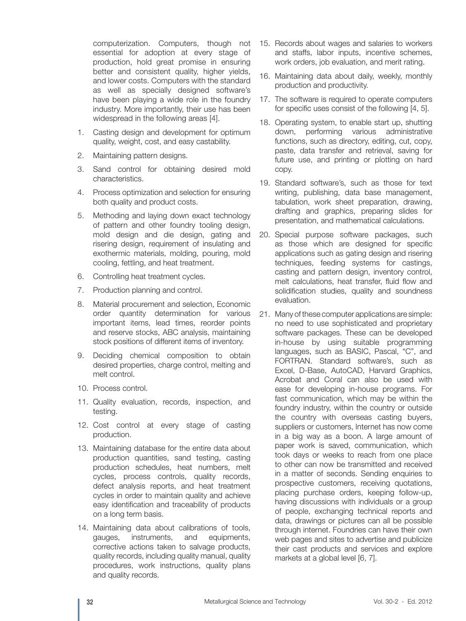computerization. Computers, though not essential for adoption at every stage of production, hold great promise in ensuring better and consistent quality, higher yields, and lower costs. Computers with the standard as well as specially designed software's have been playing a wide role in the foundry industry. More importantly, their use has been widespread in the following areas [4].

- 1. Casting design and development for optimum quality, weight, cost, and easy castability.
- 2. Maintaining pattern designs.
- 3. Sand control for obtaining desired mold characteristics.
- 4. Process optimization and selection for ensuring both quality and product costs.
- 5. Methoding and laying down exact technology of pattern and other foundry tooling design, mold design and die design, gating and risering design, requirement of insulating and exothermic materials, molding, pouring, mold cooling, fettling, and heat treatment.
- 6. Controlling heat treatment cycles.
- 7. Production planning and control.
- 8. Material procurement and selection, Economic order quantity determination for various important items, lead times, reorder points and reserve stocks, ABC analysis, maintaining stock positions of different items of inventory.
- 9. Deciding chemical composition to obtain desired properties, charge control, melting and melt control.
- 10. Process control.
- 11. Quality evaluation, records, inspection, and testing.
- 12. Cost control at every stage of casting production.
- 13. Maintaining database for the entire data about production quantities, sand testing, casting production schedules, heat numbers, melt cycles, process controls, quality records, defect analysis reports, and heat treatment cycles in order to maintain quality and achieve easy identification and traceability of products on a long term basis.
- 14. Maintaining data about calibrations of tools, gauges, instruments, and equipments, corrective actions taken to salvage products, quality records, including quality manual, quality procedures, work instructions, quality plans and quality records.
- 15. Records about wages and salaries to workers and staffs, labor inputs, incentive schemes, work orders, job evaluation, and merit rating.
- 16. Maintaining data about daily, weekly, monthly production and productivity.
- 17. The software is required to operate computers for specific uses consist of the following [4, 5].
- 18. Operating system, to enable start up, shutting down, performing various administrative functions, such as directory, editing, cut, copy, paste, data transfer and retrieval, saving for future use, and printing or plotting on hard copy.
- 19. Standard software's, such as those for text writing, publishing, data base management, tabulation, work sheet preparation, drawing, drafting and graphics, preparing slides for presentation, and mathematical calculations.
- 20. Special purpose software packages, such as those which are designed for specific applications such as gating design and risering techniques, feeding systems for castings, casting and pattern design, inventory control, melt calculations, heat transfer, fluid flow and solidification studies, quality and soundness evaluation.
- 21. Many of these computer applications are simple: no need to use sophisticated and proprietary software packages. These can be developed in-house by using suitable programming languages, such as BASIC, Pascal, "C", and FORTRAN. Standard software's, such as Excel, D-Base, AutoCAD, Harvard Graphics, Acrobat and Coral can also be used with ease for developing in-house programs. For fast communication, which may be within the foundry industry, within the country or outside the country with overseas casting buyers, suppliers or customers, Internet has now come in a big way as a boon. A large amount of paper work is saved, communication, which took days or weeks to reach from one place to other can now be transmitted and received in a matter of seconds. Sending enquiries to prospective customers, receiving quotations, placing purchase orders, keeping follow-up, having discussions with individuals or a group of people, exchanging technical reports and data, drawings or pictures can all be possible through internet. Foundries can have their own web pages and sites to advertise and publicize their cast products and services and explore markets at a global level [6, 7].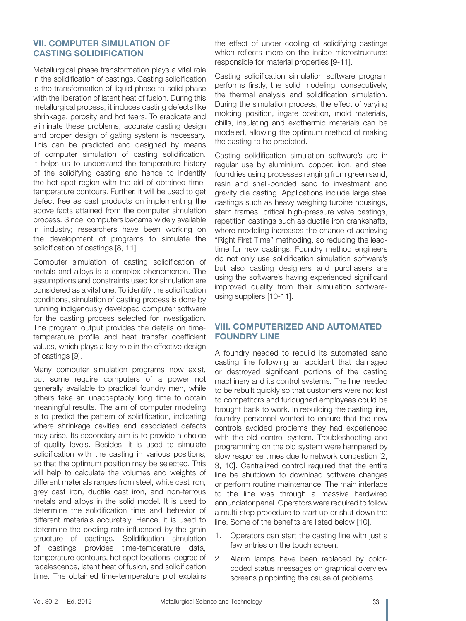#### **VII. COMPUTER SIMULATION OF CASTING SOLIDIFICATION**

Metallurgical phase transformation plays a vital role in the solidification of castings. Casting solidification is the transformation of liquid phase to solid phase with the liberation of latent heat of fusion. During this metallurgical process, it induces casting defects like shrinkage, porosity and hot tears. To eradicate and eliminate these problems, accurate casting design and proper design of gating system is necessary. This can be predicted and designed by means of computer simulation of casting solidification. It helps us to understand the temperature history of the solidifying casting and hence to indentify the hot spot region with the aid of obtained timetemperature contours. Further, it will be used to get defect free as cast products on implementing the above facts attained from the computer simulation process. Since, computers became widely available in industry; researchers have been working on the development of programs to simulate the solidification of castings [8, 11].

Computer simulation of casting solidification of metals and alloys is a complex phenomenon. The assumptions and constraints used for simulation are considered as a vital one. To identify the solidification conditions, simulation of casting process is done by running indigenously developed computer software for the casting process selected for investigation. The program output provides the details on timetemperature profile and heat transfer coefficient values, which plays a key role in the effective design of castings [9].

Many computer simulation programs now exist, but some require computers of a power not generally available to practical foundry men, while others take an unacceptably long time to obtain meaningful results. The aim of computer modeling is to predict the pattern of solidification, indicating where shrinkage cavities and associated defects may arise. Its secondary aim is to provide a choice of quality levels. Besides, it is used to simulate solidification with the casting in various positions, so that the optimum position may be selected. This will help to calculate the volumes and weights of different materials ranges from steel, white cast iron, grey cast iron, ductile cast iron, and non-ferrous metals and alloys in the solid model. It is used to determine the solidification time and behavior of different materials accurately. Hence, it is used to determine the cooling rate influenced by the grain structure of castings. Solidification simulation of castings provides time-temperature data, temperature contours, hot spot locations, degree of recalescence, latent heat of fusion, and solidification time. The obtained time-temperature plot explains

the effect of under cooling of solidifying castings which reflects more on the inside microstructures responsible for material properties [9-11].

Casting solidification simulation software program performs firstly, the solid modeling, consecutively, the thermal analysis and solidification simulation. During the simulation process, the effect of varying molding position, ingate position, mold materials, chills, insulating and exothermic materials can be modeled, allowing the optimum method of making the casting to be predicted.

Casting solidification simulation software's are in regular use by aluminium, copper, iron, and steel foundries using processes ranging from green sand, resin and shell-bonded sand to investment and gravity die casting. Applications include large steel castings such as heavy weighing turbine housings, stern frames, critical high-pressure valve castings, repetition castings such as ductile iron crankshafts, where modeling increases the chance of achieving "Right First Time" methoding, so reducing the leadtime for new castings. Foundry method engineers do not only use solidification simulation software's but also casting designers and purchasers are using the software's having experienced significant improved quality from their simulation softwareusing suppliers [10-11].

# **VIII. COMPUTERIZED AND AUTOMATED FOUNDRY LINE**

A foundry needed to rebuild its automated sand casting line following an accident that damaged or destroyed significant portions of the casting machinery and its control systems. The line needed to be rebuilt quickly so that customers were not lost to competitors and furloughed employees could be brought back to work. In rebuilding the casting line, foundry personnel wanted to ensure that the new controls avoided problems they had experienced with the old control system. Troubleshooting and programming on the old system were hampered by slow response times due to network congestion [2, 3, 10]. Centralized control required that the entire line be shutdown to download software changes or perform routine maintenance. The main interface to the line was through a massive hardwired annunciator panel. Operators were required to follow a multi-step procedure to start up or shut down the line. Some of the benefits are listed below [10].

- 1. Operators can start the casting line with just a few entries on the touch screen.
- 2. Alarm lamps have been replaced by colorcoded status messages on graphical overview screens pinpointing the cause of problems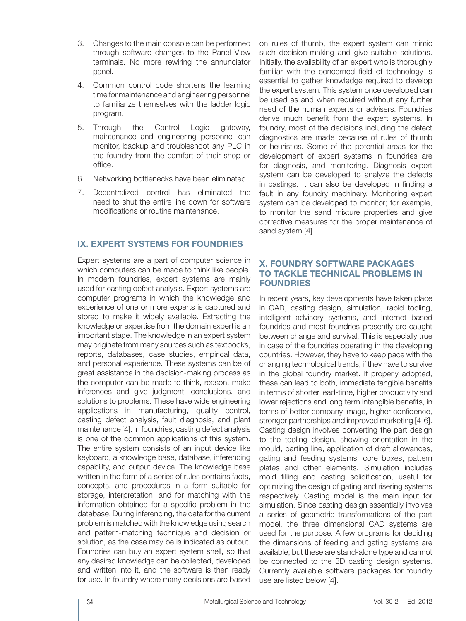- 3. Changes to the main console can be performed through software changes to the Panel View terminals. No more rewiring the annunciator panel.
- 4. Common control code shortens the learning time for maintenance and engineering personnel to familiarize themselves with the ladder logic program.
- 5. Through the Control Logic gateway, maintenance and engineering personnel can monitor, backup and troubleshoot any PLC in the foundry from the comfort of their shop or office.
- 6. Networking bottlenecks have been eliminated
- 7. Decentralized control has eliminated the need to shut the entire line down for software modifications or routine maintenance.

# **IX. EXPERT SYSTEMS FOR FOUNDRIES**

Expert systems are a part of computer science in which computers can be made to think like people. In modern foundries, expert systems are mainly used for casting defect analysis. Expert systems are computer programs in which the knowledge and experience of one or more experts is captured and stored to make it widely available. Extracting the knowledge or expertise from the domain expert is an important stage. The knowledge in an expert system may originate from many sources such as textbooks, reports, databases, case studies, empirical data, and personal experience. These systems can be of great assistance in the decision-making process as the computer can be made to think, reason, make inferences and give judgment, conclusions, and solutions to problems. These have wide engineering applications in manufacturing, quality control, casting defect analysis, fault diagnosis, and plant maintenance [4]. In foundries, casting defect analysis is one of the common applications of this system. The entire system consists of an input device like keyboard, a knowledge base, database, inferencing capability, and output device. The knowledge base written in the form of a series of rules contains facts, concepts, and procedures in a form suitable for storage, interpretation, and for matching with the information obtained for a specific problem in the database. During inferencing, the data for the current problem is matched with the knowledge using search and pattern-matching technique and decision or solution, as the case may be is indicated as output. Foundries can buy an expert system shell, so that any desired knowledge can be collected, developed and written into it, and the software is then ready for use. In foundry where many decisions are based

on rules of thumb, the expert system can mimic such decision-making and give suitable solutions. Initially, the availability of an expert who is thoroughly familiar with the concerned field of technology is essential to gather knowledge required to develop the expert system. This system once developed can be used as and when required without any further need of the human experts or advisers. Foundries derive much benefit from the expert systems. In foundry, most of the decisions including the defect diagnostics are made because of rules of thumb or heuristics. Some of the potential areas for the development of expert systems in foundries are for diagnosis, and monitoring. Diagnosis expert system can be developed to analyze the defects in castings. It can also be developed in finding a fault in any foundry machinery. Monitoring expert system can be developed to monitor; for example, to monitor the sand mixture properties and give corrective measures for the proper maintenance of sand system [4].

## **X. FOUNDRY SOFTWARE PACKAGES TO TACKLE TECHNICAL PROBLEMS IN FOUNDRIES**

In recent years, key developments have taken place in CAD, casting design, simulation, rapid tooling, intelligent advisory systems, and Internet based foundries and most foundries presently are caught between change and survival. This is especially true in case of the foundries operating in the developing countries. However, they have to keep pace with the changing technological trends, if they have to survive in the global foundry market. If properly adopted, these can lead to both, immediate tangible benefits in terms of shorter lead-time, higher productivity and lower rejections and long term intangible benefits, in terms of better company image, higher confidence, stronger partnerships and improved marketing [4-6]. Casting design involves converting the part design to the tooling design, showing orientation in the mould, parting line, application of draft allowances, gating and feeding systems, core boxes, pattern plates and other elements. Simulation includes mold filling and casting solidification, useful for optimizing the design of gating and risering systems respectively. Casting model is the main input for simulation. Since casting design essentially involves a series of geometric transformations of the part model, the three dimensional CAD systems are used for the purpose. A few programs for deciding the dimensions of feeding and gating systems are available, but these are stand-alone type and cannot be connected to the 3D casting design systems. Currently available software packages for foundry use are listed below [4].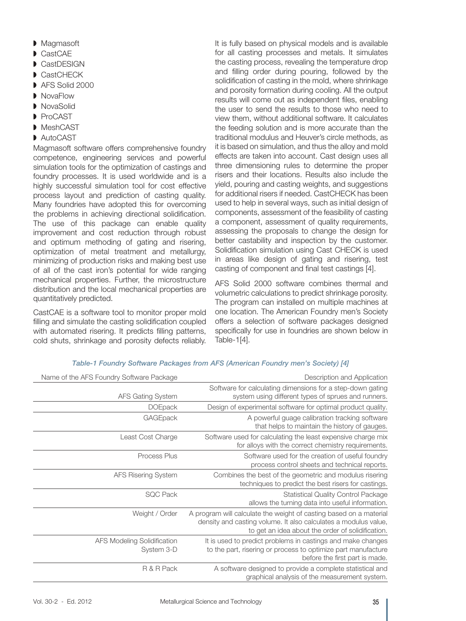- ◗ Magmasoft
- CastCAE
- CastDFSIGN
- CastCHECK
- AFS Solid 2000
- NovaFlow
- NovaSolid
- ◗ ProCAST
- ◗ MeshCAST
- AutoCAST

Magmasoft software offers comprehensive foundry competence, engineering services and powerful simulation tools for the optimization of castings and foundry processes. It is used worldwide and is a highly successful simulation tool for cost effective process layout and prediction of casting quality. Many foundries have adopted this for overcoming the problems in achieving directional solidification. The use of this package can enable quality improvement and cost reduction through robust and optimum methoding of gating and risering, optimization of metal treatment and metallurgy, minimizing of production risks and making best use of all of the cast iron's potential for wide ranging mechanical properties. Further, the microstructure distribution and the local mechanical properties are quantitatively predicted.

CastCAE is a software tool to monitor proper mold filling and simulate the casting solidification coupled with automated risering. It predicts filling patterns, cold shuts, shrinkage and porosity defects reliably. It is fully based on physical models and is available for all casting processes and metals. It simulates the casting process, revealing the temperature drop and filling order during pouring, followed by the solidification of casting in the mold, where shrinkage and porosity formation during cooling. All the output results will come out as independent files, enabling the user to send the results to those who need to view them, without additional software. It calculates the feeding solution and is more accurate than the traditional modulus and Heuver's circle methods, as it is based on simulation, and thus the alloy and mold effects are taken into account. Cast design uses all three dimensioning rules to determine the proper risers and their locations. Results also include the yield, pouring and casting weights, and suggestions for additional risers if needed. CastCHECK has been used to help in several ways, such as initial design of components, assessment of the feasibility of casting a component, assessment of quality requirements, assessing the proposals to change the design for better castability and inspection by the customer. Solidification simulation using Cast CHECK is used in areas like design of gating and risering, test casting of component and final test castings [4].

AFS Solid 2000 software combines thermal and volumetric calculations to predict shrinkage porosity. The program can installed on multiple machines at one location. The American Foundry men's Society offers a selection of software packages designed specifically for use in foundries are shown below in Table-1[4].

| Description and Application                                                                                                                                                                | Name of the AFS Foundry Software Package         |
|--------------------------------------------------------------------------------------------------------------------------------------------------------------------------------------------|--------------------------------------------------|
| Software for calculating dimensions for a step-down gating<br>system using different types of sprues and runners.                                                                          | <b>AFS Gating System</b>                         |
| Design of experimental software for optimal product quality.                                                                                                                               | <b>DOEpack</b>                                   |
| A powerful guage calibration tracking software<br>that helps to maintain the history of gauges.                                                                                            | GAGEpack                                         |
| Software used for calculating the least expensive charge mix<br>for alloys with the correct chemistry requirements.                                                                        | Least Cost Charge                                |
| Software used for the creation of useful foundry<br>process control sheets and technical reports.                                                                                          | Process Plus                                     |
| Combines the best of the geometric and modulus risering<br>techniques to predict the best risers for castings.                                                                             | <b>AFS Risering System</b>                       |
| <b>Statistical Quality Control Package</b><br>allows the turning data into useful information.                                                                                             | <b>SQC Pack</b>                                  |
| A program will calculate the weight of casting based on a material<br>density and casting volume. It also calculates a modulus value,<br>to get an idea about the order of solidification. | Weight / Order                                   |
| It is used to predict problems in castings and make changes<br>to the part, risering or process to optimize part manufacture<br>before the first part is made.                             | <b>AFS Modeling Solidification</b><br>System 3-D |
| A software designed to provide a complete statistical and<br>graphical analysis of the measurement system.                                                                                 | R & R Pack                                       |

#### *Table-1 Foundry Software Packages from AFS (American Foundry men's Society) [4]*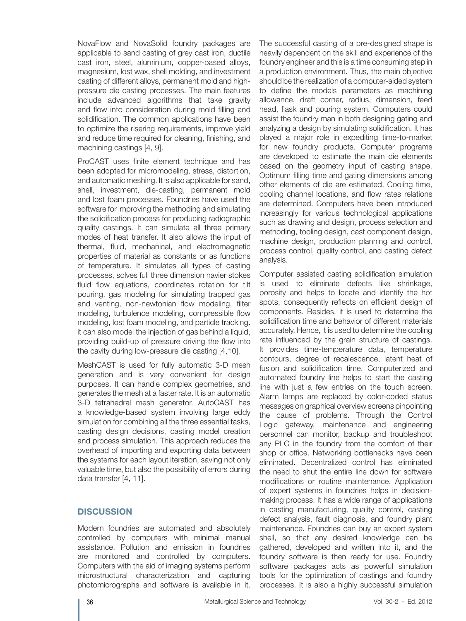NovaFlow and NovaSolid foundry packages are applicable to sand casting of grey cast iron, ductile cast iron, steel, aluminium, copper-based alloys, magnesium, lost wax, shell molding, and investment casting of different alloys, permanent mold and highpressure die casting processes. The main features include advanced algorithms that take gravity and flow into consideration during mold filling and solidification. The common applications have been to optimize the risering requirements, improve yield and reduce time required for cleaning, finishing, and machining castings [4, 9].

ProCAST uses finite element technique and has been adopted for micromodeling, stress, distortion, and automatic meshing. It is also applicable for sand, shell, investment, die-casting, permanent mold and lost foam processes. Foundries have used the software for improving the methoding and simulating the solidification process for producing radiographic quality castings. It can simulate all three primary modes of heat transfer. It also allows the input of thermal, fluid, mechanical, and electromagnetic properties of material as constants or as functions of temperature. It simulates all types of casting processes, solves full three dimension navier stokes fluid flow equations, coordinates rotation for tilt pouring, gas modeling for simulating trapped gas and venting, non-newtonian flow modeling, filter modeling, turbulence modeling, compressible flow modeling, lost foam modeling, and particle tracking. it can also model the injection of gas behind a liquid, providing build-up of pressure driving the flow into the cavity during low-pressure die casting [4,10].

MeshCAST is used for fully automatic 3-D mesh generation and is very convenient for design purposes. It can handle complex geometries, and generates the mesh at a faster rate. It is an automatic 3-D tetrahedral mesh generator. AutoCAST has a knowledge-based system involving large eddy simulation for combining all the three essential tasks, casting design decisions, casting model creation and process simulation. This approach reduces the overhead of importing and exporting data between the systems for each layout iteration, saving not only valuable time, but also the possibility of errors during data transfer [4, 11].

## **DISCUSSION**

Modern foundries are automated and absolutely controlled by computers with minimal manual assistance. Pollution and emission in foundries are monitored and controlled by computers. Computers with the aid of imaging systems perform microstructural characterization and capturing photomicrographs and software is available in it.

The successful casting of a pre-designed shape is heavily dependent on the skill and experience of the foundry engineer and this is a time consuming step in a production environment. Thus, the main objective should be the realization of a computer-aided system to define the models parameters as machining allowance, draft corner, radius, dimension, feed head, flask and pouring system. Computers could assist the foundry man in both designing gating and analyzing a design by simulating solidification. It has played a major role in expediting time-to-market for new foundry products. Computer programs are developed to estimate the main die elements based on the geometry input of casting shape. Optimum filling time and gating dimensions among other elements of die are estimated. Cooling time, cooling channel locations, and flow rates relations are determined. Computers have been introduced increasingly for various technological applications such as drawing and design, process selection and methoding, tooling design, cast component design, machine design, production planning and control, process control, quality control, and casting defect analysis.

Computer assisted casting solidification simulation is used to eliminate defects like shrinkage, porosity and helps to locate and identify the hot spots, consequently reflects on efficient design of components. Besides, it is used to determine the solidification time and behavior of different materials accurately. Hence, it is used to determine the cooling rate influenced by the grain structure of castings. It provides time-temperature data, temperature contours, degree of recalescence, latent heat of fusion and solidification time. Computerized and automated foundry line helps to start the casting line with just a few entries on the touch screen. Alarm lamps are replaced by color-coded status messages on graphical overview screens pinpointing the cause of problems. Through the Control Logic gateway, maintenance and engineering personnel can monitor, backup and troubleshoot any PLC in the foundry from the comfort of their shop or office. Networking bottlenecks have been eliminated. Decentralized control has eliminated the need to shut the entire line down for software modifications or routine maintenance. Application of expert systems in foundries helps in decisionmaking process. It has a wide range of applications in casting manufacturing, quality control, casting defect analysis, fault diagnosis, and foundry plant maintenance. Foundries can buy an expert system shell, so that any desired knowledge can be gathered, developed and written into it, and the foundry software is then ready for use. Foundry software packages acts as powerful simulation tools for the optimization of castings and foundry processes. It is also a highly successful simulation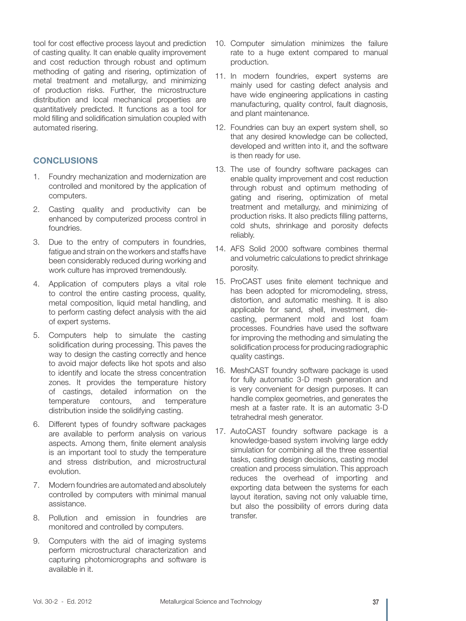tool for cost effective process layout and prediction of casting quality. It can enable quality improvement and cost reduction through robust and optimum methoding of gating and risering, optimization of metal treatment and metallurgy, and minimizing of production risks. Further, the microstructure distribution and local mechanical properties are quantitatively predicted. It functions as a tool for mold filling and solidification simulation coupled with automated risering.

# **CONCLUSIONS**

- 1. Foundry mechanization and modernization are controlled and monitored by the application of computers.
- 2. Casting quality and productivity can be enhanced by computerized process control in foundries.
- 3. Due to the entry of computers in foundries, fatigue and strain on the workers and staffs have been considerably reduced during working and work culture has improved tremendously.
- 4. Application of computers plays a vital role to control the entire casting process, quality, metal composition, liquid metal handling, and to perform casting defect analysis with the aid of expert systems.
- 5. Computers help to simulate the casting solidification during processing. This paves the way to design the casting correctly and hence to avoid major defects like hot spots and also to identify and locate the stress concentration zones. It provides the temperature history of castings, detailed information on the temperature contours, and temperature distribution inside the solidifying casting.
- 6. Different types of foundry software packages are available to perform analysis on various aspects. Among them, finite element analysis is an important tool to study the temperature and stress distribution, and microstructural evolution.
- 7. Modern foundries are automated and absolutely controlled by computers with minimal manual assistance.
- 8. Pollution and emission in foundries are monitored and controlled by computers.
- 9. Computers with the aid of imaging systems perform microstructural characterization and capturing photomicrographs and software is available in it.
- 10. Computer simulation minimizes the failure rate to a huge extent compared to manual production.
- 11. In modern foundries, expert systems are mainly used for casting defect analysis and have wide engineering applications in casting manufacturing, quality control, fault diagnosis, and plant maintenance.
- 12. Foundries can buy an expert system shell, so that any desired knowledge can be collected, developed and written into it, and the software is then ready for use.
- 13. The use of foundry software packages can enable quality improvement and cost reduction through robust and optimum methoding of gating and risering, optimization of metal treatment and metallurgy, and minimizing of production risks. It also predicts filling patterns, cold shuts, shrinkage and porosity defects reliably.
- 14. AFS Solid 2000 software combines thermal and volumetric calculations to predict shrinkage porosity.
- 15. ProCAST uses finite element technique and has been adopted for micromodeling, stress, distortion, and automatic meshing. It is also applicable for sand, shell, investment, diecasting, permanent mold and lost foam processes. Foundries have used the software for improving the methoding and simulating the solidification process for producing radiographic quality castings.
- 16. MeshCAST foundry software package is used for fully automatic 3-D mesh generation and is very convenient for design purposes. It can handle complex geometries, and generates the mesh at a faster rate. It is an automatic 3-D tetrahedral mesh generator.
- 17. AutoCAST foundry software package is a knowledge-based system involving large eddy simulation for combining all the three essential tasks, casting design decisions, casting model creation and process simulation. This approach reduces the overhead of importing and exporting data between the systems for each layout iteration, saving not only valuable time, but also the possibility of errors during data transfer.